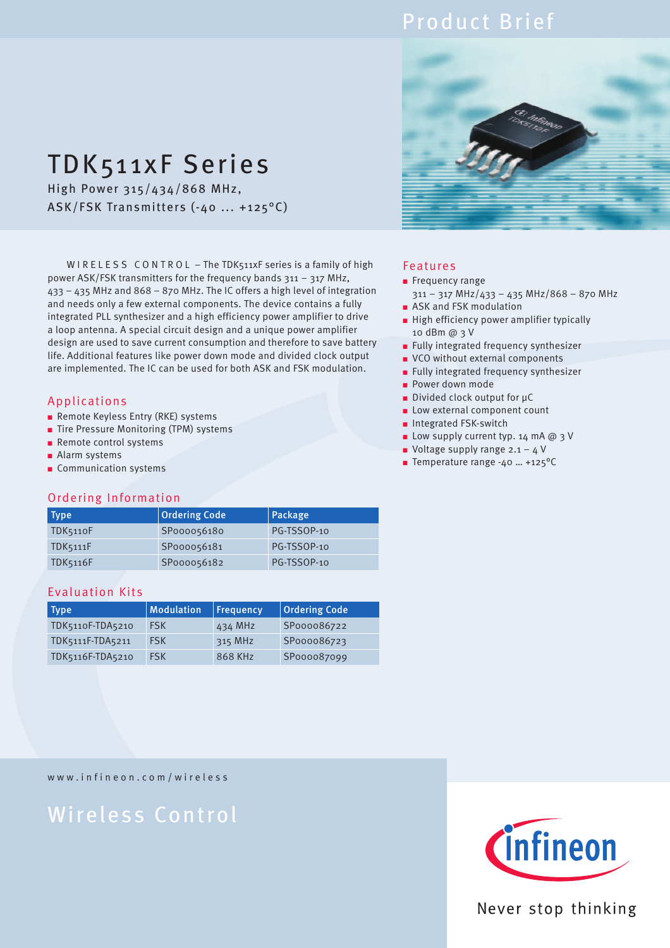## Product Brief

# TDK511xF Series

High Power 315/434/868 MHz, ASK/FSK Transmitters (-40 ... +125°C)

W I R E L E S S C O N T R O L - The TDK511xF series is a family of high power ASK/FSK transmitters for the frequency bands 311 – 317 MHz, 433 – 435 MHz and 868 – 870 MHz. The IC offers a high level of integration and needs only a few external components. The device contains a fully integrated PLL synthesizer and a high efficiency power amplifier to drive a loop antenna. A special circuit design and a unique power amplifier design are used to save current consumption and therefore to save battery life. Additional features like power down mode and divided clock output are implemented. The IC can be used for both ASK and FSK modulation.

### Applications

- Remote Keyless Entry (RKE) systems
- Tire Pressure Monitoring (TPM) systems
- Remote control systems
- Alarm systems
- Communication systems

### Ordering Information

| Type            | <b>Ordering Code</b> | Package     |
|-----------------|----------------------|-------------|
| TDK5110F        | SP000056180          | PG-TSSOP-10 |
| <b>TDK5111F</b> | SP000056181          | PG-TSSOP-10 |
| <b>TDK5116F</b> | SP000056182          | PG-TSSOP-10 |

### Evaluation Kits

| Type             | <b>Modulation</b> | Frequency | <b>Ordering Code</b> |
|------------------|-------------------|-----------|----------------------|
| TDK5110F-TDA5210 | <b>FSK</b>        | 434 MHz   | SP000086722          |
| TDK5111F-TDA5211 | <b>FSK</b>        | 315 MHz   | SP000086723          |
| TDK5116F-TDA5210 | <b>FSK</b>        | 868 KHz   | SP000087099          |



### Features

- Frequency range
	- 311 317 MHz/433 435 MHz/868 870 MHz
- ASK and FSK modulation ■ High efficiency power amplifier typically
- 10 dBm @ 3 V
- Fully integrated frequency synthesizer
- VCO without external components
- Fully integrated frequency synthesizer
- Power down mode
- Divided clock output for µC
- Low external component count
- Integrated FSK-switch
- Low supply current typ. 14 mA @ 3 V
- Voltage supply range  $2.1 4$  V
- Temperature range -40 ... +125°C

www.infineon.com/wireless

# Wireless Control



### Never stop thinking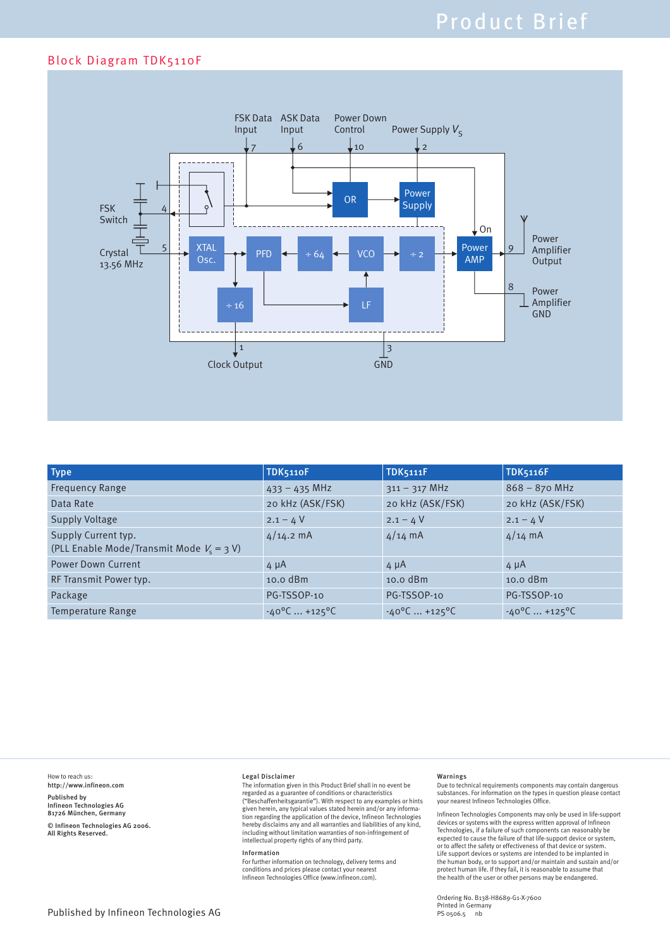### Block Diagram TDK5110F



| <b>Type</b>                                                        | TDK5110F                             | <b>TDK5111F</b>         | <b>TDK5116F</b>         |
|--------------------------------------------------------------------|--------------------------------------|-------------------------|-------------------------|
| <b>Frequency Range</b>                                             | $433 - 435$ MHz                      | $311 - 317$ MHz         | $868 - 870$ MHz         |
| Data Rate                                                          | 20 kHz (ASK/FSK)                     | 20 kHz (ASK/FSK)        | 20 kHz (ASK/FSK)        |
| <b>Supply Voltage</b>                                              | $2.1 - 4$ V                          | $2.1 - 4V$              | $2.1 - 4V$              |
| Supply Current typ.<br>(PLL Enable Mode/Transmit Mode $V_s = 3$ V) | $4/14.2$ mA                          | $4/14$ mA               | $4/14$ mA               |
| <b>Power Down Current</b>                                          | $4 \mu A$                            | $4 \mu A$               | $4 \mu A$               |
| RF Transmit Power typ.                                             | $10.0$ dBm                           | $10.0$ dBm              | $10.0$ dBm              |
| Package                                                            | PG-TSSOP-10                          | PG-TSSOP-10             | PG-TSSOP-10             |
| Temperature Range                                                  | $-40^{\circ}$ C  +125 <sup>o</sup> C | $-40^{\circ}$ C  +125°C | $-40^{\circ}$ C  +125°C |

How to reach us: http://www.infineon.com

Published by Infineon Technologies AG 81726 München, Germany

© Infineon Technologies AG 2006. All Rights Reserved.

### Legal Disclaimer

The information given in this Product Brief shall in no event be regarded as a guarantee of conditions or characteristics ("Beschaffenheitsgarantie"). With respect to any examples or hints<br>given herein, any typical values stated herein and/or any informa-<br>tion regarding the application of the device, Infineon Technologies<br>hereby disclaims any including without limitation warranties of non-infringement of intellectual property rights of any third party.

#### Information

For further information on technology, delivery terms and conditions and prices please contact your nearest Infineon Technologies Office (www.infineon.com).

#### Warnings

Due to technical requirements components may contain dangerous substances. For information on the types in question please contact your nearest Infineon Technologies Office.

Infineon Technologies Components may only be used in life-support devices or systems with the express written approval of Infineon Technologies, if a failure of such components can reasonably be<br>expected to cause the failure of that life-support device or system,<br>or to affect the safety or effectiveness of that device or system.<br>Life support devices o the human body, or to support and/or maintain and sustain and/or protect human life. If they fail, it is reasonable to assume that the health of the user or other persons may be endangered.

Ordering No. B138-H8689-G1-X-7600 Printed in Germany PS 0506.5 nb